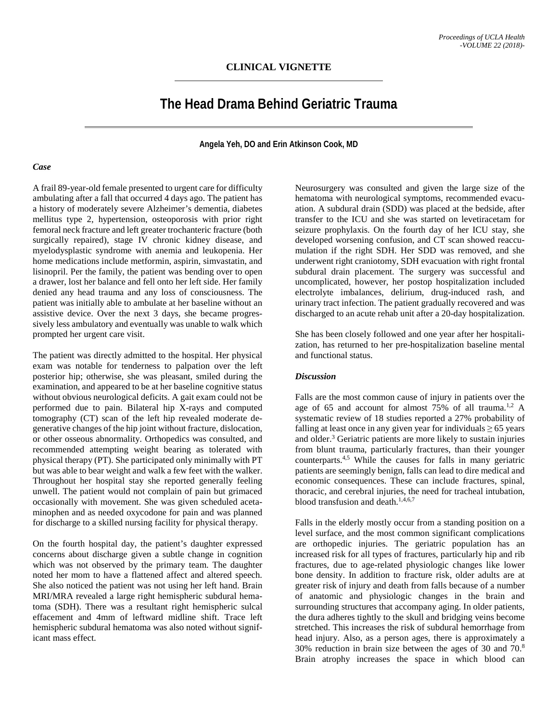## **The Head Drama Behind Geriatric Trauma**

**Angela Yeh, DO and Erin Atkinson Cook, MD**

## *Case*

A frail 89-year-old female presented to urgent care for difficulty ambulating after a fall that occurred 4 days ago. The patient has a history of moderately severe Alzheimer's dementia, diabetes mellitus type 2, hypertension, osteoporosis with prior right femoral neck fracture and left greater trochanteric fracture (both surgically repaired), stage IV chronic kidney disease, and myelodysplastic syndrome with anemia and leukopenia. Her home medications include metformin, aspirin, simvastatin, and lisinopril. Per the family, the patient was bending over to open a drawer, lost her balance and fell onto her left side. Her family denied any head trauma and any loss of consciousness. The patient was initially able to ambulate at her baseline without an assistive device. Over the next 3 days, she became progressively less ambulatory and eventually was unable to walk which prompted her urgent care visit.

The patient was directly admitted to the hospital. Her physical exam was notable for tenderness to palpation over the left posterior hip; otherwise, she was pleasant, smiled during the examination, and appeared to be at her baseline cognitive status without obvious neurological deficits. A gait exam could not be performed due to pain. Bilateral hip X-rays and computed tomography (CT) scan of the left hip revealed moderate degenerative changes of the hip joint without fracture, dislocation, or other osseous abnormality. Orthopedics was consulted, and recommended attempting weight bearing as tolerated with physical therapy (PT). She participated only minimally with PT but was able to bear weight and walk a few feet with the walker. Throughout her hospital stay she reported generally feeling unwell. The patient would not complain of pain but grimaced occasionally with movement. She was given scheduled acetaminophen and as needed oxycodone for pain and was planned for discharge to a skilled nursing facility for physical therapy.

On the fourth hospital day, the patient's daughter expressed concerns about discharge given a subtle change in cognition which was not observed by the primary team. The daughter noted her mom to have a flattened affect and altered speech. She also noticed the patient was not using her left hand. Brain MRI/MRA revealed a large right hemispheric subdural hematoma (SDH). There was a resultant right hemispheric sulcal effacement and 4mm of leftward midline shift. Trace left hemispheric subdural hematoma was also noted without significant mass effect.

Neurosurgery was consulted and given the large size of the hematoma with neurological symptoms, recommended evacuation. A subdural drain (SDD) was placed at the bedside, after transfer to the ICU and she was started on levetiracetam for seizure prophylaxis. On the fourth day of her ICU stay, she developed worsening confusion, and CT scan showed reaccumulation if the right SDH. Her SDD was removed, and she underwent right craniotomy, SDH evacuation with right frontal subdural drain placement. The surgery was successful and uncomplicated, however, her postop hospitalization included electrolyte imbalances, delirium, drug-induced rash, and urinary tract infection. The patient gradually recovered and was discharged to an acute rehab unit after a 20-day hospitalization.

She has been closely followed and one year after her hospitalization, has returned to her pre-hospitalization baseline mental and functional status.

## *Discussion*

Falls are the most common cause of injury in patients over the age of 65 and account for almost 75% of all trauma. 1,2 A systematic review of 18 studies reported a 27% probability of falling at least once in any given year for individuals  $\geq 65$  years and older. <sup>3</sup> Geriatric patients are more likely to sustain injuries from blunt trauma, particularly fractures, than their younger counterparts. 4,5 While the causes for falls in many geriatric patients are seemingly benign, falls can lead to dire medical and economic consequences. These can include fractures, spinal, thoracic, and cerebral injuries, the need for tracheal intubation, blood transfusion and death. 1,4,6,7

Falls in the elderly mostly occur from a standing position on a level surface, and the most common significant complications are orthopedic injuries. The geriatric population has an increased risk for all types of fractures, particularly hip and rib fractures, due to age-related physiologic changes like lower bone density. In addition to fracture risk, older adults are at greater risk of injury and death from falls because of a number of anatomic and physiologic changes in the brain and surrounding structures that accompany aging. In older patients, the dura adheres tightly to the skull and bridging veins become stretched. This increases the risk of subdural hemorrhage from head injury. Also, as a person ages, there is approximately a 30% reduction in brain size between the ages of 30 and 70. 8 Brain atrophy increases the space in which blood can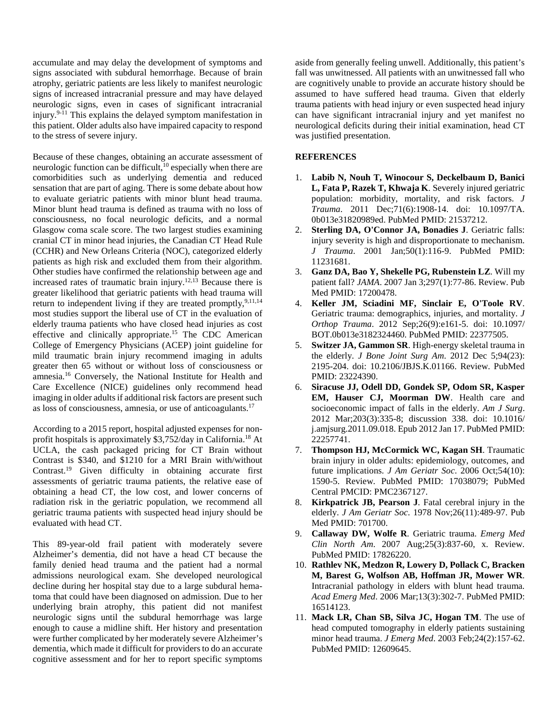accumulate and may delay the development of symptoms and signs associated with subdural hemorrhage. Because of brain atrophy, geriatric patients are less likely to manifest neurologic signs of increased intracranial pressure and may have delayed neurologic signs, even in cases of significant intracranial injury. 9-11 This explains the delayed symptom manifestation in this patient. Older adults also have impaired capacity to respond to the stress of severe injury.

Because of these changes, obtaining an accurate assessment of neurologic function can be difficult,<sup>10</sup> especially when there are comorbidities such as underlying dementia and reduced sensation that are part of aging. There is some debate about how to evaluate geriatric patients with minor blunt head trauma. Minor blunt head trauma is defined as trauma with no loss of consciousness, no focal neurologic deficits, and a normal Glasgow coma scale score. The two largest studies examining cranial CT in minor head injuries, the Canadian CT Head Rule (CCHR) and New Orleans Criteria (NOC), categorized elderly patients as high risk and excluded them from their algorithm. Other studies have confirmed the relationship between age and increased rates of traumatic brain injury. 12,13 Because there is greater likelihood that geriatric patients with head trauma will return to independent living if they are treated promptly,<sup>9,11,14</sup> most studies support the liberal use of CT in the evaluation of elderly trauma patients who have closed head injuries as cost effective and clinically appropriate. <sup>15</sup> The CDC American College of Emergency Physicians (ACEP) joint guideline for mild traumatic brain injury recommend imaging in adults greater then 65 without or without loss of consciousness or amnesia.<sup>16</sup> Conversely, the National Institute for Health and Care Excellence (NICE) guidelines only recommend head imaging in older adults if additional risk factors are present such as loss of consciousness, amnesia, or use of anticoagulants.<sup>17</sup>

According to a 2015 report, hospital adjusted expenses for nonprofit hospitals is approximately \$3,752/day in California. <sup>18</sup> At UCLA, the cash packaged pricing for CT Brain without Contrast is \$340, and \$1210 for a MRI Brain with/without Contrast. <sup>19</sup> Given difficulty in obtaining accurate first assessments of geriatric trauma patients, the relative ease of obtaining a head CT, the low cost, and lower concerns of radiation risk in the geriatric population, we recommend all geriatric trauma patients with suspected head injury should be evaluated with head CT.

This 89-year-old frail patient with moderately severe Alzheimer's dementia, did not have a head CT because the family denied head trauma and the patient had a normal admissions neurological exam. She developed neurological decline during her hospital stay due to a large subdural hematoma that could have been diagnosed on admission. Due to her underlying brain atrophy, this patient did not manifest neurologic signs until the subdural hemorrhage was large enough to cause a midline shift. Her history and presentation were further complicated by her moderately severe Alzheimer's dementia, which made it difficult for providers to do an accurate cognitive assessment and for her to report specific symptoms

aside from generally feeling unwell. Additionally, this patient's fall was unwitnessed. All patients with an unwitnessed fall who are cognitively unable to provide an accurate history should be assumed to have suffered head trauma. Given that elderly trauma patients with head injury or even suspected head injury can have significant intracranial injury and yet manifest no neurological deficits during their initial examination, head CT was justified presentation.

## **REFERENCES**

- 1. **Labib N, Nouh T, Winocour S, Deckelbaum D, Banici L, Fata P, Razek T, Khwaja K**. Severely injured geriatric population: morbidity, mortality, and risk factors. *J Trauma*. 2011 Dec;71(6):1908-14. doi: 10.1097/TA. 0b013e31820989ed. PubMed PMID: 21537212.
- 2. **Sterling DA, O'Connor JA, Bonadies J**. Geriatric falls: injury severity is high and disproportionate to mechanism. *J Trauma*. 2001 Jan;50(1):116-9. PubMed PMID: 11231681.
- 3. **Ganz DA, Bao Y, Shekelle PG, Rubenstein LZ**. Will my patient fall? *JAMA*. 2007 Jan 3;297(1):77-86. Review. Pub Med PMID: 17200478.
- 4. **Keller JM, Sciadini MF, Sinclair E, O'Toole RV**. Geriatric trauma: demographics, injuries, and mortality. *J Orthop Trauma*. 2012 Sep;26(9):e161-5. doi: 10.1097/ BOT.0b013e3182324460. PubMed PMID: 22377505.
- 5. **Switzer JA, Gammon SR**. High-energy skeletal trauma in the elderly. *J Bone Joint Surg Am*. 2012 Dec 5;94(23): 2195-204. doi: 10.2106/JBJS.K.01166. Review. PubMed PMID: 23224390.
- 6. **Siracuse JJ, Odell DD, Gondek SP, Odom SR, Kasper EM, Hauser CJ, Moorman DW**. Health care and socioeconomic impact of falls in the elderly. *Am J Surg*. 2012 Mar;203(3):335-8; discussion 338. doi: 10.1016/ j.amjsurg.2011.09.018. Epub 2012 Jan 17. PubMed PMID: 22257741.
- 7. **Thompson HJ, McCormick WC, Kagan SH**. Traumatic brain injury in older adults: epidemiology, outcomes, and future implications. *J Am Geriatr Soc*. 2006 Oct;54(10): 1590-5. Review. PubMed PMID: 17038079; PubMed Central PMCID: PMC2367127.
- 8. **Kirkpatrick JB, Pearson J**. Fatal cerebral injury in the elderly. *J Am Geriatr Soc*. 1978 Nov;26(11):489-97. Pub Med PMID: 701700.
- 9. **Callaway DW, Wolfe R**. Geriatric trauma. *Emerg Med Clin North Am*. 2007 Aug;25(3):837-60, x. Review. PubMed PMID: 17826220.
- 10. **Rathlev NK, Medzon R, Lowery D, Pollack C, Bracken M, Barest G, Wolfson AB, Hoffman JR, Mower WR**. Intracranial pathology in elders with blunt head trauma. *Acad Emerg Med*. 2006 Mar;13(3):302-7. PubMed PMID: 16514123.
- 11. **Mack LR, Chan SB, Silva JC, Hogan TM**. The use of head computed tomography in elderly patients sustaining minor head trauma. *J Emerg Med*. 2003 Feb;24(2):157-62. PubMed PMID: 12609645.